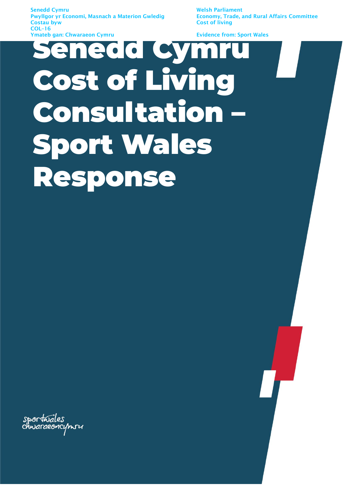Senedd Cymru Welsh Parliament Pwyllgor yr Economi, Masnach a Materion Gwledig **Costau byw Costau byw Cost of living** COL–16 Ymateb gan: Chwaraeon Cymru

# Fydence from: Sport Wales Cost of Living Consultation – Sport Wales Response

sportwales<br>chwaraeoncymru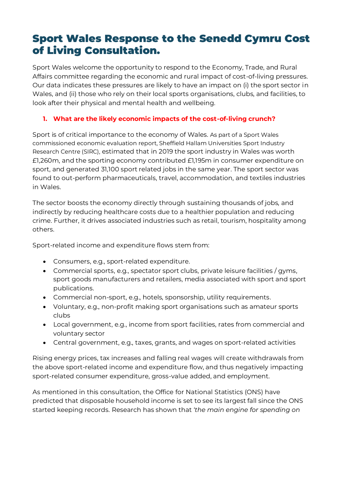# Sport Wales Response to the Senedd Cymru Cost of Living Consultation.

Sport Wales welcome the opportunity to respond to the Economy, Trade, and Rural Affairs committee regarding the economic and rural impact of cost-of-living pressures. Our data indicates these pressures are likely to have an impact on (i) the sport sector in Wales, and (ii) those who rely on their local sports organisations, clubs, and facilities, to look after their physical and mental health and wellbeing.

## **1. What are the likely economic impacts of the cost-of-living crunch?**

Sport is of critical importance to the economy of Wales. As part of a Sport Wales commissioned economic evaluation report, Sheffield Hallam Universities Sport Industry Research Centre (SIRC), estimated that in 2019 the sport industry in Wales was worth £1,260m, and the sporting economy contributed £1,195m in consumer expenditure on sport, and generated 31,100 sport related jobs in the same year. The sport sector was found to out-perform pharmaceuticals, travel, accommodation, and textiles industries in Wales.

The sector boosts the economy directly through sustaining thousands of jobs, and indirectly by reducing healthcare costs due to a healthier population and reducing crime. Further, it drives associated industries such as retail, tourism, hospitality among others.

Sport-related income and expenditure flows stem from:

- Consumers, e.g., sport-related expenditure.
- Commercial sports, e.g., spectator sport clubs, private leisure facilities / gyms, sport goods manufacturers and retailers, media associated with sport and sport publications.
- Commercial non-sport, e.g., hotels, sponsorship, utility requirements.
- Voluntary, e.g., non-profit making sport organisations such as amateur sports clubs
- Local government, e.g., income from sport facilities, rates from commercial and voluntary sector
- Central government, e.g., taxes, grants, and wages on sport-related activities

Rising energy prices, tax increases and falling real wages will create withdrawals from the above sport-related income and expenditure flow, and thus negatively impacting sport-related consumer expenditure, gross-value added, and employment.

As mentioned in this consultation, the Office for National Statistics (ONS) have predicted that disposable household income is set to see its largest fall since the ONS started keeping records. Research has shown that *'the main engine for spending on*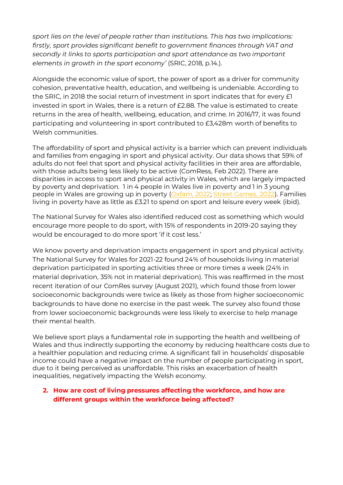*sport lies on the level of people rather than institutions. This has two implications: firstly, sport provides significant benefit to government finances through VAT and secondly it links to sports participation and sport attendance as two important elements in growth in the sport economy'* (SRIC, 2018, p.14.).

Alongside the economic value of sport, the power of sport as a driver for community cohesion, preventative health, education, and wellbeing is undeniable. According to the SRIC, in 2018 the social return of investment in sport indicates that for every £1 invested in sport in Wales, there is a return of £2.88. The value is estimated to create returns in the area of health, wellbeing, education, and crime. In 2016/17, it was found participating and volunteering in sport contributed to £3,428m worth of benefits to Welsh communities.

The affordability of sport and physical activity is a barrier which can prevent individuals and families from engaging in sport and physical activity. Our data shows that 59% of adults do not feel that sport and physical activity facilities in their area are affordable, with those adults being less likely to be active (ComRess, Feb 2022). There are disparities in access to sport and physical activity in Wales, which are largely impacted by poverty and deprivation. 1 in 4 people in Wales live in poverty and 1 in 3 young people in Wales are growing up in poverty [\(Oxfam, 2022;](https://oxfamapps.org/cymru/poverty-in-wales/) [Street Games, 2022\)](https://network.streetgames.org/sites/default/files/Family%20Engagement%20Project.pdf). Families living in poverty have as little as £3.21 to spend on sport and leisure every week (ibid).

The National Survey for Wales also identified reduced cost as something which would encourage more people to do sport, with 15% of respondents in 2019-20 saying they would be encouraged to do more sport 'if it cost less.'

We know poverty and deprivation impacts engagement in sport and physical activity. The National Survey for Wales for 2021-22 found 24% of households living in material deprivation participated in sporting activities three or more times a week (24% in material deprivation, 35% not in material deprivation). This was reaffirmed in the most recent iteration of our ComRes survey (August 2021), which found those from lower socioeconomic backgrounds were twice as likely as those from higher socioeconomic backgrounds to have done no exercise in the past week. The survey also found those from lower socioeconomic backgrounds were less likely to exercise to help manage their mental health.

We believe sport plays a fundamental role in supporting the health and wellbeing of Wales and thus indirectly supporting the economy by reducing healthcare costs due to a healthier population and reducing crime. A significant fall in households' disposable income could have a negative impact on the number of people participating in sport, due to it being perceived as unaffordable. This risks an exacerbation of health inequalities, negatively impacting the Welsh economy.

#### **2. How are cost of living pressures affecting the workforce, and how are different groups within the workforce being affected?**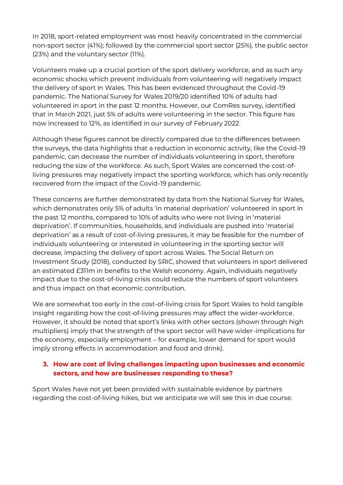In 2018, sport-related employment was most heavily concentrated in the commercial non-sport sector (41%); followed by the commercial sport sector (25%), the public sector (23%) and the voluntary sector (11%).

Volunteers make up a crucial portion of the sport delivery workforce, and as such any economic shocks which prevent individuals from volunteering will negatively impact the delivery of sport in Wales. This has been evidenced throughout the Covid-19 pandemic. The National Survey for Wales 2019/20 identified 10% of adults had volunteered in sport in the past 12 months. However, our ComRes survey, identified that in March 2021, just 5% of adults were volunteering in the sector. This figure has now increased to 12%, as identified in our survey of February 2022.

Although these figures cannot be directly compared due to the differences between the surveys, the data highlights that a reduction in economic activity, like the Covid-19 pandemic, can decrease the number of individuals volunteering in sport, therefore reducing the size of the workforce. As such, Sport Wales are concerned the cost-ofliving pressures may negatively impact the sporting workforce, which has only recently recovered from the impact of the Covid-19 pandemic.

These concerns are further demonstrated by data from the National Survey for Wales, which demonstrates only 5% of adults 'in material deprivation' volunteered in sport in the past 12 months, compared to 10% of adults who were not living in 'material deprivation'. If communities, households, and individuals are pushed into 'material deprivation' as a result of cost-of-living pressures, it may be feasible for the number of individuals volunteering or interested in volunteering in the sporting sector will decrease, impacting the delivery of sport across Wales. The Social Return on Investment Study (2018), conducted by SRIC, showed that volunteers in sport delivered an estimated £311m in benefits to the Welsh economy. Again, individuals negatively impact due to the cost-of-living crisis could reduce the numbers of sport volunteers and thus impact on that economic contribution.

We are somewhat too early in the cost-of-living crisis for Sport Wales to hold tangible insight regarding how the cost-of-living pressures may affect the wider-workforce. However, it should be noted that sport's links with other sectors (shown through high multipliers) imply that the strength of the sport sector will have wider-implications for the economy, especially employment – for example, lower demand for sport would imply strong effects in accommodation and food and drink).

#### **3. How are cost of living challenges impacting upon businesses and economic sectors, and how are businesses responding to these?**

Sport Wales have not yet been provided with sustainable evidence by partners regarding the cost-of-living hikes, but we anticipate we will see this in due course.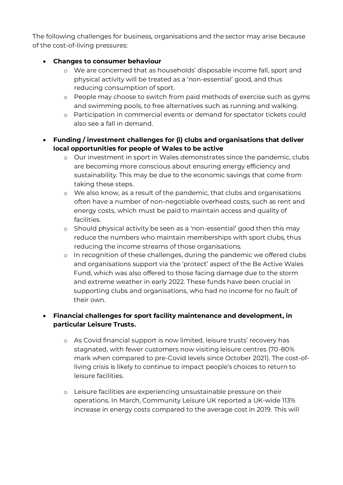The following challenges for business, organisations and the sector may arise because of the cost-of-living pressures:

#### • **Changes to consumer behaviour**

- o We are concerned that as households' disposable income fall, sport and physical activity will be treated as a 'non-essential' good, and thus reducing consumption of sport.
- o People may choose to switch from paid methods of exercise such as gyms and swimming pools, to free alternatives such as running and walking.
- o Participation in commercial events or demand for spectator tickets could also see a fall in demand.
- **Funding / investment challenges for (i) clubs and organisations that deliver local opportunities for people of Wales to be active**
	- o Our investment in sport in Wales demonstrates since the pandemic, clubs are becoming more conscious about ensuring energy efficiency and sustainability. This may be due to the economic savings that come from taking these steps.
	- o We also know, as a result of the pandemic, that clubs and organisations often have a number of non-negotiable overhead costs, such as rent and energy costs, which must be paid to maintain access and quality of facilities.
	- o Should physical activity be seen as a 'non-essential' good then this may reduce the numbers who maintain memberships with sport clubs, thus reducing the income streams of those organisations.
	- o In recognition of these challenges, during the pandemic we offered clubs and organisations support via the 'protect' aspect of the Be Active Wales Fund, which was also offered to those facing damage due to the storm and extreme weather in early 2022. These funds have been crucial in supporting clubs and organisations, who had no income for no fault of their own.

# • **Financial challenges for sport facility maintenance and development, in particular Leisure Trusts.**

- o As Covid financial support is now limited, leisure trusts' recovery has stagnated, with fewer customers now visiting leisure centres (70-80% mark when compared to pre-Covid levels since October 2021). The cost-ofliving crisis is likely to continue to impact people's choices to return to leisure facilities.
- o Leisure facilities are experiencing unsustainable pressure on their operations. In March, Community Leisure UK reported a UK-wide 113% increase in energy costs compared to the average cost in 2019. This will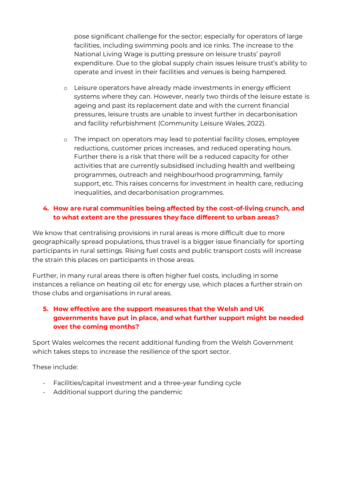pose significant challenge for the sector; especially for operators of large facilities, including swimming pools and ice rinks. The increase to the National Living Wage is putting pressure on leisure trusts' payroll expenditure. Due to the global supply chain issues leisure trust's ability to operate and invest in their facilities and venues is being hampered.

- o Leisure operators have already made investments in energy efficient systems where they can. However, nearly two thirds of the leisure estate is ageing and past its replacement date and with the current financial pressures, leisure trusts are unable to invest further in decarbonisation and facility refurbishment (Community Leisure Wales, 2022).
- o The impact on operators may lead to potential facility closes, employee reductions, customer prices increases, and reduced operating hours. Further there is a risk that there will be a reduced capacity for other activities that are currently subsidised including health and wellbeing programmes, outreach and neighbourhood programming, family support, etc. This raises concerns for investment in health care, reducing inequalities, and decarbonisation programmes.

#### **4. How are rural communities being affected by the cost-of-living crunch, and to what extent are the pressures they face different to urban areas?**

We know that centralising provisions in rural areas is more difficult due to more geographically spread populations, thus travel is a bigger issue financially for sporting participants in rural settings. Rising fuel costs and public transport costs will increase the strain this places on participants in those areas.

Further, in many rural areas there is often higher fuel costs, including in some instances a reliance on heating oil etc for energy use, which places a further strain on those clubs and organisations in rural areas.

### **5. How effective are the support measures that the Welsh and UK governments have put in place, and what further support might be needed over the coming months?**

Sport Wales welcomes the recent additional funding from the Welsh Government which takes steps to increase the resilience of the sport sector.

These include:

- Facilities/capital investment and a three-year funding cycle
- Additional support during the pandemic